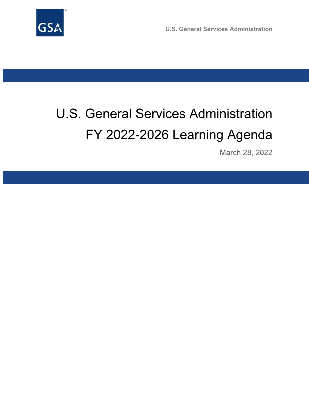

U.S. General Services Administration

# U.S. General Services Administration FY 2022-2026 Learning Agenda

March 28, 2022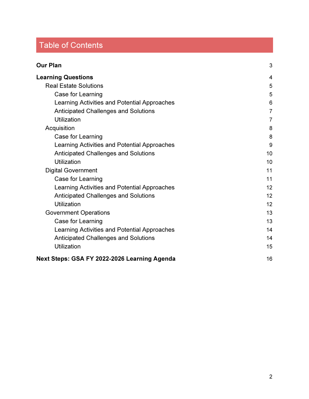# Table of Contents

| <b>Our Plan</b>                              |                |
|----------------------------------------------|----------------|
| <b>Learning Questions</b>                    | 4              |
| <b>Real Estate Solutions</b>                 | 5              |
| Case for Learning                            | 5              |
| Learning Activities and Potential Approaches | 6              |
| <b>Anticipated Challenges and Solutions</b>  | $\overline{7}$ |
| <b>Utilization</b>                           | $\overline{7}$ |
| Acquisition                                  | 8              |
| Case for Learning                            | 8              |
| Learning Activities and Potential Approaches | 9              |
| <b>Anticipated Challenges and Solutions</b>  | 10             |
| Utilization                                  | 10             |
| <b>Digital Government</b>                    | 11             |
| Case for Learning                            | 11             |
| Learning Activities and Potential Approaches | 12             |
| <b>Anticipated Challenges and Solutions</b>  | 12             |
| Utilization                                  | 12             |
| <b>Government Operations</b>                 | 13             |
| Case for Learning                            | 13             |
| Learning Activities and Potential Approaches | 14             |
| <b>Anticipated Challenges and Solutions</b>  | 14             |
| <b>Utilization</b>                           | 15             |
| Next Steps: GSA FY 2022-2026 Learning Agenda | 16             |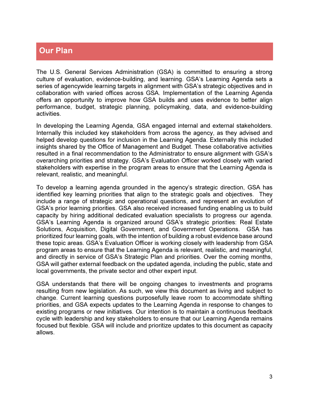# Our Plan

The U.S. General Services Administration (GSA) is committed to ensuring a strong culture of evaluation, evidence-building, and learning. GSA's Learning Agenda sets a series of agencywide learning targets in alignment with GSA's strategic objectives and in collaboration with varied offices across GSA. Implementation of the Learning Agenda offers an opportunity to improve how GSA builds and uses evidence to better align performance, budget, strategic planning, policymaking, data, and evidence-building activities.

In developing the Learning Agenda, GSA engaged internal and external stakeholders. Internally this included key stakeholders from across the agency, as they advised and helped develop questions for inclusion in the Learning Agenda. Externally this included insights shared by the Office of Management and Budget. These collaborative activities resulted in a final recommendation to the Administrator to ensure alignment with GSA's overarching priorities and strategy. GSA's Evaluation Officer worked closely with varied stakeholders with expertise in the program areas to ensure that the Learning Agenda is relevant, realistic, and meaningful.

To develop a learning agenda grounded in the agency's strategic direction, GSA has identified key learning priorities that align to the strategic goals and objectives. They include a range of strategic and operational questions, and represent an evolution of GSA's prior learning priorities. GSA also received increased funding enabling us to build capacity by hiring additional dedicated evaluation specialists to progress our agenda. GSA's Learning Agenda is organized around GSA's strategic priorities: Real Estate Solutions, Acquisition, Digital Government, and Government Operations. GSA has prioritized four learning goals, with the intention of building a robust evidence base around these topic areas. GSA's Evaluation Officer is working closely with leadership from GSA program areas to ensure that the Learning Agenda is relevant, realistic, and meaningful, and directly in service of GSA's Strategic Plan and priorities. Over the coming months, GSA will gather external feedback on the updated agenda, including the public, state and local governments, the private sector and other expert input.

GSA understands that there will be ongoing changes to investments and programs resulting from new legislation. As such, we view this document as living and subject to change. Current learning questions purposefully leave room to accommodate shifting priorities, and GSA expects updates to the Learning Agenda in response to changes to existing programs or new initiatives. Our intention is to maintain a continuous feedback cycle with leadership and key stakeholders to ensure that our Learning Agenda remains focused but flexible. GSA will include and prioritize updates to this document as capacity allows.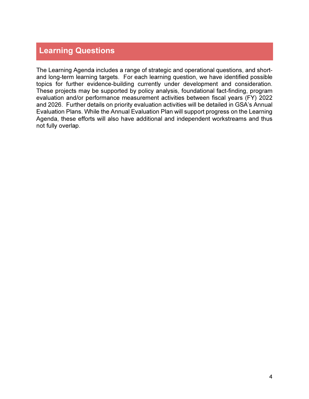# Learning Questions

The Learning Agenda includes a range of strategic and operational questions, and shortand long-term learning targets. For each learning question, we have identified possible topics for further evidence-building currently under development and consideration. These projects may be supported by policy analysis, foundational fact-finding, program evaluation and/or performance measurement activities between fiscal years (FY) 2022 and 2026. Further details on priority evaluation activities will be detailed in GSA's Annual Evaluation Plans. While the Annual Evaluation Plan will support progress on the Learning Agenda, these efforts will also have additional and independent workstreams and thus not fully overlap.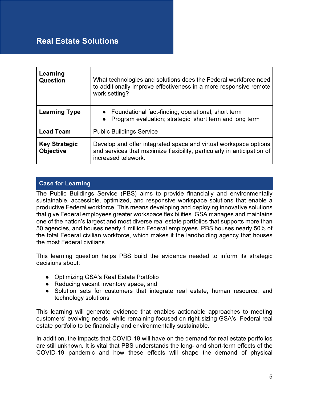# Real Estate Solutions

| Learning<br><b>Question</b>              | What technologies and solutions does the Federal workforce need<br>to additionally improve effectiveness in a more responsive remote<br>work setting?              |
|------------------------------------------|--------------------------------------------------------------------------------------------------------------------------------------------------------------------|
| <b>Learning Type</b>                     | • Foundational fact-finding; operational; short term<br>Program evaluation; strategic; short term and long term<br>$\bullet$                                       |
| <b>Lead Team</b>                         | <b>Public Buildings Service</b>                                                                                                                                    |
| <b>Key Strategic</b><br><b>Objective</b> | Develop and offer integrated space and virtual workspace options<br>and services that maximize flexibility, particularly in anticipation of<br>increased telework. |

## Case for Learning

The Public Buildings Service (PBS) aims to provide financially and environmentally sustainable, accessible, optimized, and responsive workspace solutions that enable a productive Federal workforce. This means developing and deploying innovative solutions that give Federal employees greater workspace flexibilities. GSA manages and maintains one of the nation's largest and most diverse real estate portfolios that supports more than 50 agencies, and houses nearly 1 million Federal employees. PBS houses nearly 50% of the total Federal civilian workforce, which makes it the landholding agency that houses the most Federal civilians.

This learning question helps PBS build the evidence needed to inform its strategic decisions about:

- Optimizing GSA's Real Estate Portfolio
- Reducing vacant inventory space, and
- Solution sets for customers that integrate real estate, human resource, and technology solutions

This learning will generate evidence that enables actionable approaches to meeting customers' evolving needs, while remaining focused on right-sizing GSA's Federal real estate portfolio to be financially and environmentally sustainable.

In addition, the impacts that COVID-19 will have on the demand for real estate portfolios are still unknown. It is vital that PBS understands the long- and short-term effects of the COVID-19 pandemic and how these effects will shape the demand of physical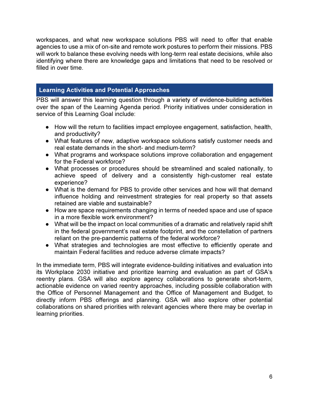workspaces, and what new workspace solutions PBS will need to offer that enable agencies to use a mix of on-site and remote work postures to perform their missions. PBS will work to balance these evolving needs with long-term real estate decisions, while also identifying where there are knowledge gaps and limitations that need to be resolved or filled in over time.

## Learning Activities and Potential Approaches

PBS will answer this learning question through a variety of evidence-building activities over the span of the Learning Agenda period. Priority initiatives under consideration in service of this Learning Goal include:

- How will the return to facilities impact employee engagement, satisfaction, health, and productivity?
- What features of new, adaptive workspace solutions satisfy customer needs and real estate demands in the short- and medium-term?
- What programs and workspace solutions improve collaboration and engagement for the Federal workforce?
- What processes or procedures should be streamlined and scaled nationally, to achieve speed of delivery and a consistently high-customer real estate experience?
- What is the demand for PBS to provide other services and how will that demand influence holding and reinvestment strategies for real property so that assets retained are viable and sustainable?
- How are space requirements changing in terms of needed space and use of space in a more flexible work environment?
- What will be the impact on local communities of a dramatic and relatively rapid shift in the federal government's real estate footprint, and the constellation of partners reliant on the pre-pandemic patterns of the federal workforce?
- What strategies and technologies are most effective to efficiently operate and maintain Federal facilities and reduce adverse climate impacts?

In the immediate term, PBS will integrate evidence-building initiatives and evaluation into its Workplace 2030 initiative and prioritize learning and evaluation as part of GSA's reentry plans. GSA will also explore agency collaborations to generate short-term, actionable evidence on varied reentry approaches, including possible collaboration with the Office of Personnel Management and the Office of Management and Budget, to directly inform PBS offerings and planning. GSA will also explore other potential collaborations on shared priorities with relevant agencies where there may be overlap in learning priorities.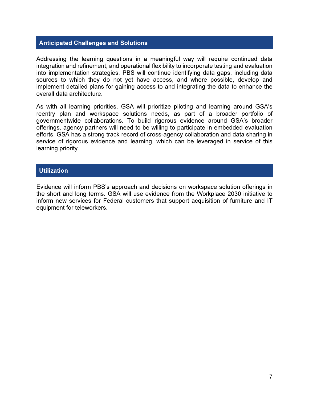#### Anticipated Challenges and Solutions

Addressing the learning questions in a meaningful way will require continued data integration and refinement, and operational flexibility to incorporate testing and evaluation into implementation strategies. PBS will continue identifying data gaps, including data sources to which they do not yet have access, and where possible, develop and implement detailed plans for gaining access to and integrating the data to enhance the overall data architecture.

As with all learning priorities, GSA will prioritize piloting and learning around GSA's reentry plan and workspace solutions needs, as part of a broader portfolio of governmentwide collaborations. To build rigorous evidence around GSA's broader offerings, agency partners will need to be willing to participate in embedded evaluation efforts. GSA has a strong track record of cross-agency collaboration and data sharing in service of rigorous evidence and learning, which can be leveraged in service of this learning priority.

#### **Utilization**

Evidence will inform PBS's approach and decisions on workspace solution offerings in the short and long terms. GSA will use evidence from the Workplace 2030 initiative to inform new services for Federal customers that support acquisition of furniture and IT equipment for teleworkers.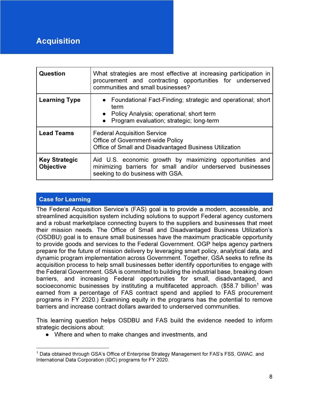# Acquisition

| Question                                 | What strategies are most effective at increasing participation in<br>procurement and contracting opportunities for underserved<br>communities and small businesses?          |
|------------------------------------------|------------------------------------------------------------------------------------------------------------------------------------------------------------------------------|
| <b>Learning Type</b>                     | • Foundational Fact-Finding; strategic and operational; short<br>term<br>• Policy Analysis; operational; short term<br>Program evaluation; strategic; long-term<br>$\bullet$ |
| <b>Lead Teams</b>                        | <b>Federal Acquisition Service</b><br><b>Office of Government-wide Policy</b><br>Office of Small and Disadvantaged Business Utilization                                      |
| <b>Key Strategic</b><br><b>Objective</b> | Aid U.S. economic growth by maximizing opportunities and<br>minimizing barriers for small and/or underserved businesses<br>seeking to do business with GSA.                  |

# Case for Learning

The Federal Acquisition Service's (FAS) goal is to provide a modern, accessible, and streamlined acquisition system including solutions to support Federal agency customers and a robust marketplace connecting buyers to the suppliers and businesses that meet their mission needs. The Office of Small and Disadvantaged Business Utilization's (OSDBU) goal is to ensure small businesses have the maximum practicable opportunity to provide goods and services to the Federal Government. OGP helps agency partners prepare for the future of mission delivery by leveraging smart policy, analytical data, and dynamic program implementation across Government. Together, GSA seeks to refine its acquisition process to help small businesses better identify opportunities to engage with the Federal Government. GSA is committed to building the industrial base, breaking down barriers, and increasing Federal opportunities for small, disadvantaged, and socioeconomic businesses by instituting a multifaceted approach.  $($58.7$  billion<sup>1</sup> was earned from a percentage of FAS contract spend and applied to FAS procurement programs in FY 2020.) Examining equity in the programs has the potential to remove barriers and increase contract dollars awarded to underserved communities.

This learning question helps OSDBU and FAS build the evidence needed to inform strategic decisions about:

● Where and when to make changes and investments, and

<sup>&</sup>lt;sup>1</sup> Data obtained through GSA's Office of Enterprise Strategy Management for FAS's FSS, GWAC. and International Data Corporation (IDC) programs for FY 2020.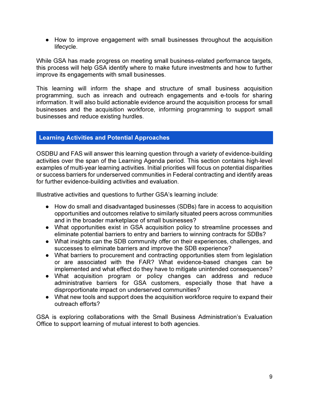● How to improve engagement with small businesses throughout the acquisition lifecycle.

While GSA has made progress on meeting small business-related performance targets, this process will help GSA identify where to make future investments and how to further improve its engagements with small businesses.

This learning will inform the shape and structure of small business acquisition programming, such as inreach and outreach engagements and e-tools for sharing information. It will also build actionable evidence around the acquisition process for small businesses and the acquisition workforce, informing programming to support small businesses and reduce existing hurdles.

### Learning Activities and Potential Approaches

OSDBU and FAS will answer this learning question through a variety of evidence-building activities over the span of the Learning Agenda period. This section contains high-level examples of multi-year learning activities. Initial priorities will focus on potential disparities or success barriers for underserved communities in Federal contracting and identify areas for further evidence-building activities and evaluation.

Illustrative activities and questions to further GSA's learning include:

- How do small and disadvantaged businesses (SDBs) fare in access to acquisition opportunities and outcomes relative to similarly situated peers across communities and in the broader marketplace of small businesses?
- What opportunities exist in GSA acquisition policy to streamline processes and eliminate potential barriers to entry and barriers to winning contracts for SDBs?
- What insights can the SDB community offer on their experiences, challenges, and successes to eliminate barriers and improve the SDB experience?
- What barriers to procurement and contracting opportunities stem from legislation or are associated with the FAR? What evidence-based changes can be implemented and what effect do they have to mitigate unintended consequences?
- What acquisition program or policy changes can address and reduce administrative barriers for GSA customers, especially those that have a disproportionate impact on underserved communities?
- What new tools and support does the acquisition workforce require to expand their outreach efforts?

GSA is exploring collaborations with the Small Business Administration's Evaluation Office to support learning of mutual interest to both agencies.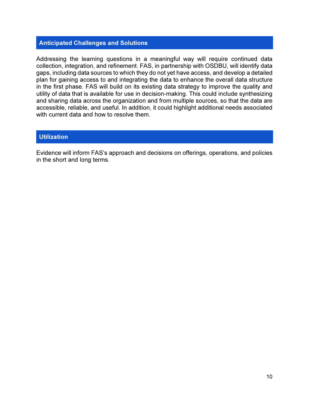## Anticipated Challenges and Solutions

Addressing the learning questions in a meaningful way will require continued data collection, integration, and refinement. FAS, in partnership with OSDBU, will identify data gaps, including data sources to which they do not yet have access, and develop a detailed plan for gaining access to and integrating the data to enhance the overall data structure in the first phase. FAS will build on its existing data strategy to improve the quality and utility of data that is available for use in decision-making. This could include synthesizing and sharing data across the organization and from multiple sources, so that the data are accessible, reliable, and useful. In addition, it could highlight additional needs associated with current data and how to resolve them.

#### **Utilization**

Evidence will inform FAS's approach and decisions on offerings, operations, and policies in the short and long terms.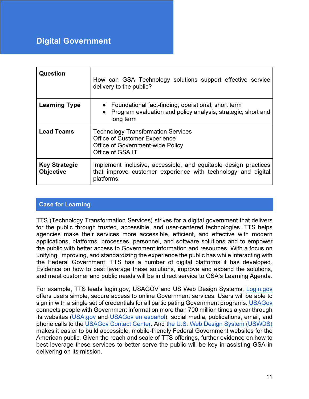# Digital Government

| Question                                 | How can GSA Technology solutions support effective service<br>delivery to the public?                                                            |
|------------------------------------------|--------------------------------------------------------------------------------------------------------------------------------------------------|
| <b>Learning Type</b>                     | • Foundational fact-finding; operational; short term<br>• Program evaluation and policy analysis; strategic; short and<br>long term              |
| <b>Lead Teams</b>                        | <b>Technology Transformation Services</b><br><b>Office of Customer Experience</b><br><b>Office of Government-wide Policy</b><br>Office of GSA IT |
| <b>Key Strategic</b><br><b>Objective</b> | Implement inclusive, accessible, and equitable design practices<br>that improve customer experience with technology and digital<br>platforms.    |

## Case for Learning

TTS (Technology Transformation Services) strives for a digital government that delivers for the public through trusted, accessible, and user-centered technologies. TTS helps agencies make their services more accessible, efficient, and effective with modern applications, platforms, processes, personnel, and software solutions and to empower the public with better access to Government information and resources. With a focus on unifying, improving, and standardizing the experience the public has while interacting with the Federal Government, TTS has a number of digital platforms it has developed. Evidence on how to best leverage these solutions, improve and expand the solutions, and meet customer and public needs will be in direct service to GSA's Learning Agenda.

For example, TTS leads login.gov, USAGOV and US Web Design Systems. Login.gov offers users simple, secure access to online Government services. Users will be able to sign in with a single set of credentials for all participating Government programs. USAGov connects people with Government information more than 700 million times a year through its websites (USA.gov and USAGov en español), social media, publications, email, and phone calls to the USAGov Contact Center. And the U.S. Web Design System (USWDS) makes it easier to build accessible, mobile-friendly Federal Government websites for the American public. Given the reach and scale of TTS offerings, further evidence on how to best leverage these services to better serve the public will be key in assisting GSA in delivering on its mission.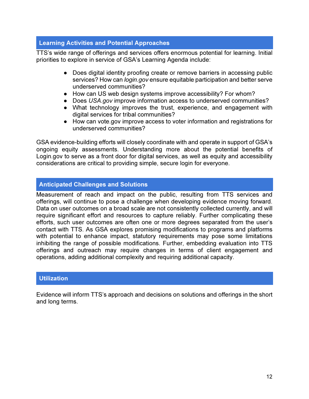## Learning Activities and Potential Approaches

TTS's wide range of offerings and services offers enormous potential for learning. Initial priorities to explore in service of GSA's Learning Agenda include:

- Does digital identity proofing create or remove barriers in accessing public services? How can *login.gov* ensure equitable participation and better serve underserved communities?
- How can US web design systems improve accessibility? For whom?
- Does USA.gov improve information access to underserved communities?
- What technology improves the trust, experience, and engagement with digital services for tribal communities?
- How can vote.gov improve access to voter information and registrations for underserved communities?

GSA evidence-building efforts will closely coordinate with and operate in support of GSA's ongoing equity assessments. Understanding more about the potential benefits of Login.gov to serve as a front door for digital services, as well as equity and accessibility considerations are critical to providing simple, secure login for everyone.

## Anticipated Challenges and Solutions

Measurement of reach and impact on the public, resulting from TTS services and offerings, will continue to pose a challenge when developing evidence moving forward. Data on user outcomes on a broad scale are not consistently collected currently, and will require significant effort and resources to capture reliably. Further complicating these efforts, such user outcomes are often one or more degrees separated from the user's contact with TTS. As GSA explores promising modifications to programs and platforms with potential to enhance impact, statutory requirements may pose some limitations inhibiting the range of possible modifications. Further, embedding evaluation into TTS offerings and outreach may require changes in terms of client engagement and operations, adding additional complexity and requiring additional capacity.

#### **Utilization**

Evidence will inform TTS's approach and decisions on solutions and offerings in the short and long terms.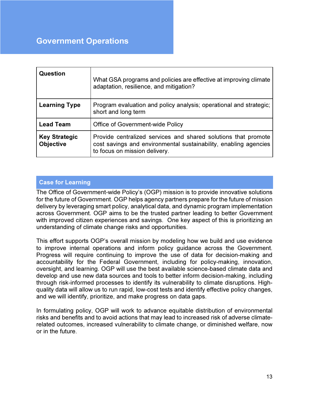# Government Operations

| <b>Question</b>                          | What GSA programs and policies are effective at improving climate<br>adaptation, resilience, and mitigation?                                                        |
|------------------------------------------|---------------------------------------------------------------------------------------------------------------------------------------------------------------------|
| <b>Learning Type</b>                     | Program evaluation and policy analysis; operational and strategic;<br>short and long term                                                                           |
| <b>Lead Team</b>                         | Office of Government-wide Policy                                                                                                                                    |
| <b>Key Strategic</b><br><b>Objective</b> | Provide centralized services and shared solutions that promote<br>cost savings and environmental sustainability, enabling agencies<br>to focus on mission delivery. |

## Case for Learning

The Office of Government-wide Policy's (OGP) mission is to provide innovative solutions for the future of Government. OGP helps agency partners prepare for the future of mission delivery by leveraging smart policy, analytical data, and dynamic program implementation across Government. OGP aims to be the trusted partner leading to better Government with improved citizen experiences and savings. One key aspect of this is prioritizing an understanding of climate change risks and opportunities.

This effort supports OGP's overall mission by modeling how we build and use evidence to improve internal operations and inform policy guidance across the Government. Progress will require continuing to improve the use of data for decision-making and accountability for the Federal Government, including for policy-making, innovation, oversight, and learning. OGP will use the best available science-based climate data and develop and use new data sources and tools to better inform decision-making, including through risk-informed processes to identify its vulnerability to climate disruptions. Highquality data will allow us to run rapid, low-cost tests and identify effective policy changes, and we will identify, prioritize, and make progress on data gaps.

In formulating policy, OGP will work to advance equitable distribution of environmental risks and benefits and to avoid actions that may lead to increased risk of adverse climaterelated outcomes, increased vulnerability to climate change, or diminished welfare, now or in the future.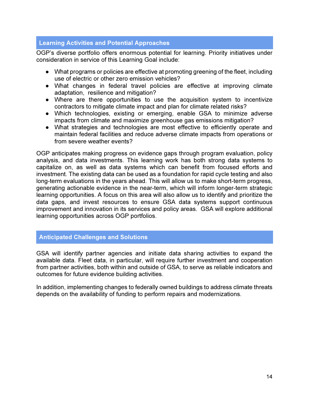## Learning Activities and Potential Approaches

OGP's diverse portfolio offers enormous potential for learning. Priority initiatives under consideration in service of this Learning Goal include:

- What programs or policies are effective at promoting greening of the fleet, including use of electric or other zero emission vehicles?
- What changes in federal travel policies are effective at improving climate adaptation, resilience and mitigation?
- Where are there opportunities to use the acquisition system to incentivize contractors to mitigate climate impact and plan for climate related risks?
- Which technologies, existing or emerging, enable GSA to minimize adverse impacts from climate and maximize greenhouse gas emissions mitigation?
- What strategies and technologies are most effective to efficiently operate and maintain federal facilities and reduce adverse climate impacts from operations or from severe weather events?

OGP anticipates making progress on evidence gaps through program evaluation, policy analysis, and data investments. This learning work has both strong data systems to capitalize on, as well as data systems which can benefit from focused efforts and investment. The existing data can be used as a foundation for rapid cycle testing and also long-term evaluations in the years ahead. This will allow us to make short-term progress, generating actionable evidence in the near-term, which will inform longer-term strategic learning opportunities. A focus on this area will also allow us to identify and prioritize the data gaps, and invest resources to ensure GSA data systems support continuous improvement and innovation in its services and policy areas. GSA will explore additional learning opportunities across OGP portfolios.

## Anticipated Challenges and Solutions

GSA will identify partner agencies and initiate data sharing activities to expand the available data. Fleet data, in particular, will require further investment and cooperation from partner activities, both within and outside of GSA, to serve as reliable indicators and outcomes for future evidence building activities.

In addition, implementing changes to federally owned buildings to address climate threats depends on the availability of funding to perform repairs and modernizations.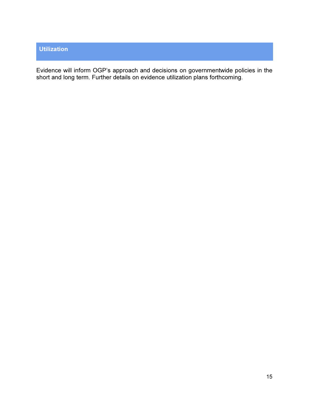# Utilization

Evidence will inform OGP's approach and decisions on governmentwide policies in the short and long term. Further details on evidence utilization plans forthcoming.